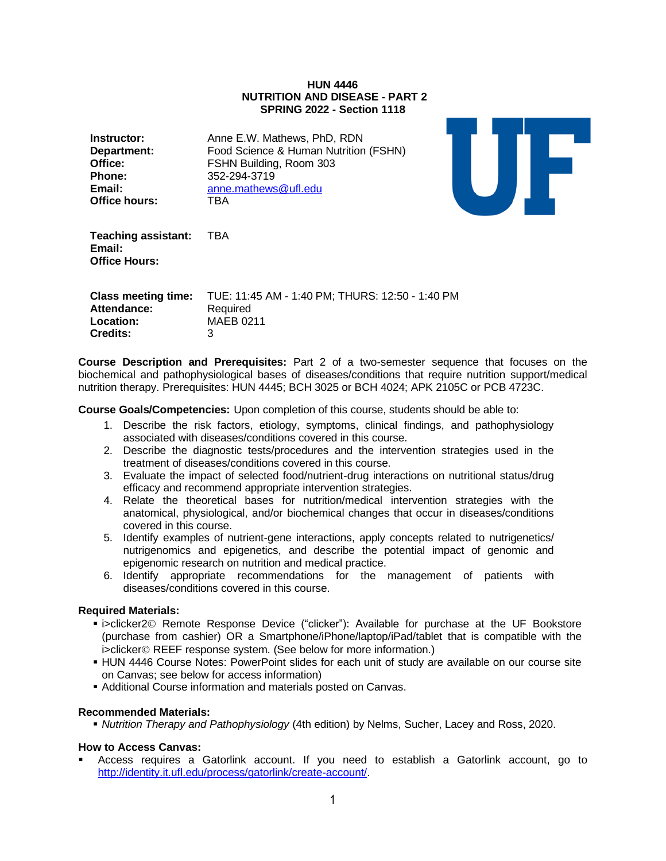#### **HUN 4446 NUTRITION AND DISEASE - PART 2 SPRING 2022 - Section 1118**

| Instructor:          | Anne E.W. Mathews, PhD, RDN           |
|----------------------|---------------------------------------|
| <b>Department:</b>   | Food Science & Human Nutrition (FSHN) |
| Office:              | FSHN Building, Room 303               |
| Phone:               | 352-294-3719                          |
| Email:               | anne.mathews@ufl.edu                  |
| <b>Office hours:</b> | TRA                                   |



**Teaching assistant:** TBA **Email: Office Hours:**

| <b>Class meeting time:</b><br>Attendance: | TUE: 11:45 AM - 1:40 PM; THURS: 12:50 - 1:40 PM<br>Required |
|-------------------------------------------|-------------------------------------------------------------|
| Location:                                 | MAEB 0211                                                   |
| <b>Credits:</b>                           |                                                             |

**Course Description and Prerequisites:** Part 2 of a two-semester sequence that focuses on the biochemical and pathophysiological bases of diseases/conditions that require nutrition support/medical nutrition therapy. Prerequisites: HUN 4445; BCH 3025 or BCH 4024; APK 2105C or PCB 4723C.

**Course Goals/Competencies:** Upon completion of this course, students should be able to:

- 1. Describe the risk factors, etiology, symptoms, clinical findings, and pathophysiology associated with diseases/conditions covered in this course.
- 2. Describe the diagnostic tests/procedures and the intervention strategies used in the treatment of diseases/conditions covered in this course.
- 3. Evaluate the impact of selected food/nutrient-drug interactions on nutritional status/drug efficacy and recommend appropriate intervention strategies.
- 4. Relate the theoretical bases for nutrition/medical intervention strategies with the anatomical, physiological, and/or biochemical changes that occur in diseases/conditions covered in this course.
- 5. Identify examples of nutrient-gene interactions, apply concepts related to nutrigenetics/ nutrigenomics and epigenetics, and describe the potential impact of genomic and epigenomic research on nutrition and medical practice.
- 6. Identify appropriate recommendations for the management of patients with diseases/conditions covered in this course.

## **Required Materials:**

- i>clicker2© Remote Response Device ("clicker"): Available for purchase at the UF Bookstore (purchase from cashier) OR a Smartphone/iPhone/laptop/iPad/tablet that is compatible with the i>clicker© REEF response system. (See below for more information.)
- **. HUN 4446 Course Notes: PowerPoint slides for each unit of study are available on our course site** on Canvas; see below for access information)
- **EXEDENT Additional Course information and materials posted on Canvas.**

## **Recommended Materials:**

▪ *Nutrition Therapy and Pathophysiology* (4th edition) by Nelms, Sucher, Lacey and Ross, 2020.

## **How to Access Canvas:**

▪ Access requires a Gatorlink account. If you need to establish a Gatorlink account, go to [http://identity.it.ufl.edu/process/gatorlink/create-account/.](http://identity.it.ufl.edu/process/gatorlink/create-account/)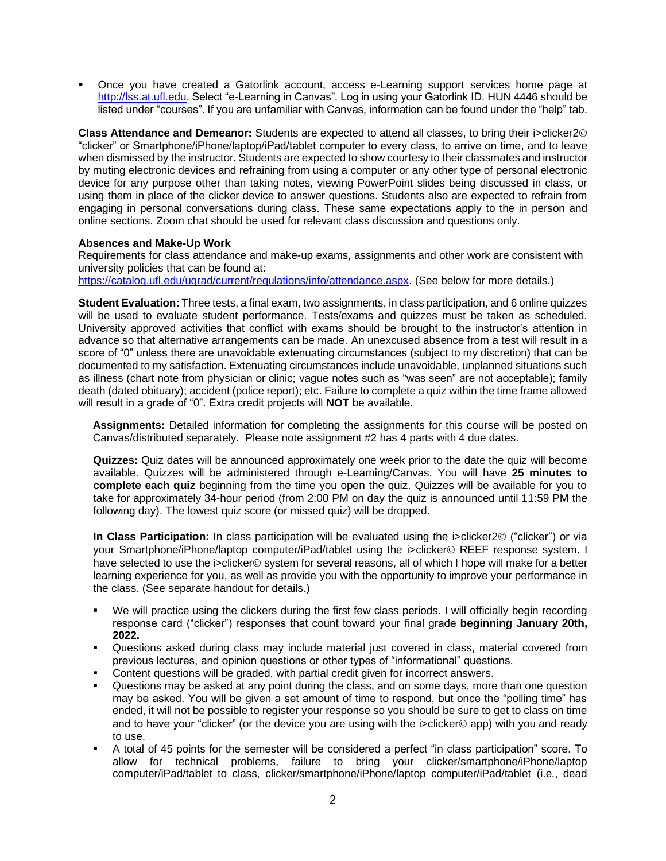▪ Once you have created a Gatorlink account, access e-Learning support services home page at [http://lss.at.ufl.edu.](http://lss.at.ufl.edu/) Select "e-Learning in Canvas". Log in using your Gatorlink ID. HUN 4446 should be listed under "courses". If you are unfamiliar with Canvas, information can be found under the "help" tab.

**Class Attendance and Demeanor:** Students are expected to attend all classes, to bring their i>clicker2© "clicker" or Smartphone/iPhone/laptop/iPad/tablet computer to every class, to arrive on time, and to leave when dismissed by the instructor. Students are expected to show courtesy to their classmates and instructor by muting electronic devices and refraining from using a computer or any other type of personal electronic device for any purpose other than taking notes, viewing PowerPoint slides being discussed in class, or using them in place of the clicker device to answer questions. Students also are expected to refrain from engaging in personal conversations during class. These same expectations apply to the in person and online sections. Zoom chat should be used for relevant class discussion and questions only.

## **Absences and Make-Up Work**

Requirements for class attendance and make-up exams, assignments and other work are consistent with university policies that can be found at:

[https://catalog.ufl.edu/ugrad/current/regulations/info/attendance.aspx.](https://catalog.ufl.edu/ugrad/current/regulations/info/attendance.aspx) (See below for more details.)

**Student Evaluation:** Three tests, a final exam, two assignments, in class participation, and 6 online quizzes will be used to evaluate student performance. Tests/exams and quizzes must be taken as scheduled. University approved activities that conflict with exams should be brought to the instructor's attention in advance so that alternative arrangements can be made. An unexcused absence from a test will result in a score of "0" unless there are unavoidable extenuating circumstances (subject to my discretion) that can be documented to my satisfaction. Extenuating circumstances include unavoidable, unplanned situations such as illness (chart note from physician or clinic; vague notes such as "was seen" are not acceptable); family death (dated obituary); accident (police report); etc. Failure to complete a quiz within the time frame allowed will result in a grade of "0". Extra credit projects will **NOT** be available.

**Assignments:** Detailed information for completing the assignments for this course will be posted on Canvas/distributed separately. Please note assignment #2 has 4 parts with 4 due dates.

**Quizzes:** Quiz dates will be announced approximately one week prior to the date the quiz will become available. Quizzes will be administered through e-Learning/Canvas. You will have **25 minutes to complete each quiz** beginning from the time you open the quiz. Quizzes will be available for you to take for approximately 34-hour period (from 2:00 PM on day the quiz is announced until 11:59 PM the following day). The lowest quiz score (or missed quiz) will be dropped.

**In Class Participation:** In class participation will be evaluated using the i>clicker2© ("clicker") or via your Smartphone/iPhone/laptop computer/iPad/tablet using the i>clicker© REEF response system. I have selected to use the i>clicker© system for several reasons, all of which I hope will make for a better learning experience for you, as well as provide you with the opportunity to improve your performance in the class. (See separate handout for details.)

- We will practice using the clickers during the first few class periods. I will officially begin recording response card ("clicker") responses that count toward your final grade **beginning January 20th, 2022.**
- Questions asked during class may include material just covered in class, material covered from previous lectures, and opinion questions or other types of "informational" questions.
- Content questions will be graded, with partial credit given for incorrect answers.
- Questions may be asked at any point during the class, and on some days, more than one question may be asked. You will be given a set amount of time to respond, but once the "polling time" has ended, it will not be possible to register your response so you should be sure to get to class on time and to have your "clicker" (or the device you are using with the i>clicker© app) with you and ready to use.
- A total of 45 points for the semester will be considered a perfect "in class participation" score. To allow for technical problems, failure to bring your clicker/smartphone/iPhone/laptop computer/iPad/tablet to class, clicker/smartphone/iPhone/laptop computer/iPad/tablet (i.e., dead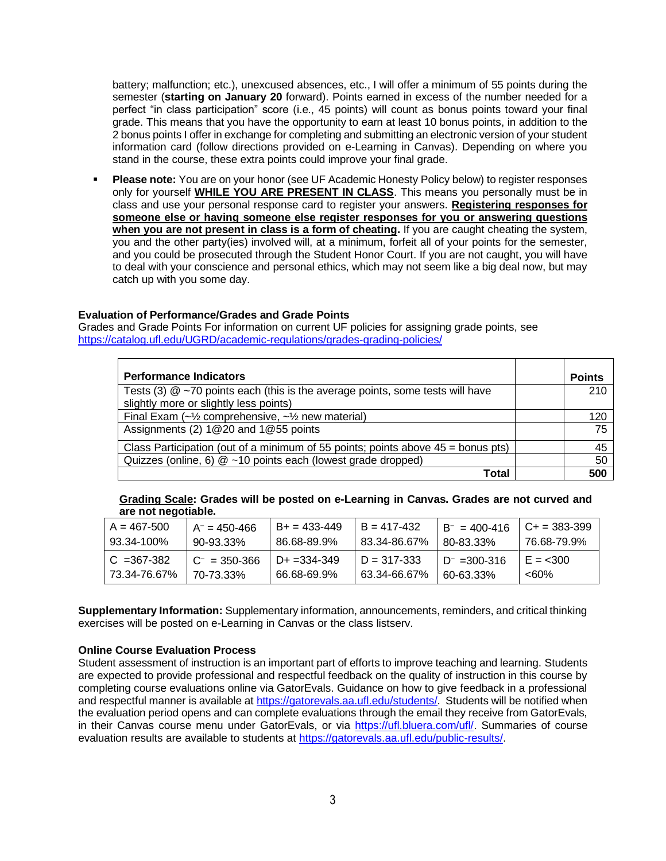battery; malfunction; etc.), unexcused absences, etc., I will offer a minimum of 55 points during the semester (**starting on January 20** forward). Points earned in excess of the number needed for a perfect "in class participation" score (i.e., 45 points) will count as bonus points toward your final grade. This means that you have the opportunity to earn at least 10 bonus points, in addition to the 2 bonus points I offer in exchange for completing and submitting an electronic version of your student information card (follow directions provided on e-Learning in Canvas). Depending on where you stand in the course, these extra points could improve your final grade.

**• Please note:** You are on your honor (see UF Academic Honesty Policy below) to register responses only for yourself **WHILE YOU ARE PRESENT IN CLASS**. This means you personally must be in class and use your personal response card to register your answers. **Registering responses for someone else or having someone else register responses for you or answering questions when you are not present in class is a form of cheating.** If you are caught cheating the system, you and the other party(ies) involved will, at a minimum, forfeit all of your points for the semester, and you could be prosecuted through the Student Honor Court. If you are not caught, you will have to deal with your conscience and personal ethics, which may not seem like a big deal now, but may catch up with you some day.

## **Evaluation of Performance/Grades and Grade Points**

Grades and Grade Points For information on current UF policies for assigning grade points, see <https://catalog.ufl.edu/UGRD/academic-regulations/grades-grading-policies/>

| <b>Performance Indicators</b>                                                      | <b>Points</b> |  |
|------------------------------------------------------------------------------------|---------------|--|
| Tests (3) $@$ ~70 points each (this is the average points, some tests will have    | 210           |  |
| slightly more or slightly less points)                                             |               |  |
| Final Exam $(-\frac{1}{2})$ comprehensive, $-\frac{1}{2}$ new material)            | 120           |  |
| Assignments (2) 1@20 and 1@55 points                                               | 75            |  |
| Class Participation (out of a minimum of 55 points; points above $45 =$ bonus pts) |               |  |
| Quizzes (online, 6) $@$ ~10 points each (lowest grade dropped)                     | -50           |  |
| Total                                                                              | 500           |  |

**Grading Scale: Grades will be posted on e-Learning in Canvas. Grades are not curved and are not negotiable.**

| $A = 467 - 500$ | $A^- = 450 - 466$ | $B+ = 433 - 449$ | $B = 417 - 432$ | $B^- = 400 - 416$ | $C_{+}$ = 383-399 |
|-----------------|-------------------|------------------|-----------------|-------------------|-------------------|
| 93.34-100%      | 90-93.33%         | 86.68-89.9%      | 83.34-86.67%    | 80-83.33%         | 76.68-79.9%       |
| $C = 367 - 382$ | $C^{-}$ = 350-366 | $D+ = 334 - 349$ | $D = 317 - 333$ | $D^- = 300 - 316$ | $E = 300$         |
| 73.34-76.67%    | 70-73.33%         | 66.68-69.9%      | 63.34-66.67%    | 60-63.33%         | $< 60\%$          |

**Supplementary Information:** Supplementary information, announcements, reminders, and critical thinking exercises will be posted on e-Learning in Canvas or the class listserv.

## **Online Course Evaluation Process**

Student assessment of instruction is an important part of efforts to improve teaching and learning. Students are expected to provide professional and respectful feedback on the quality of instruction in this course by completing course evaluations online via GatorEvals. Guidance on how to give feedback in a professional and respectful manner is available a[t https://gatorevals.aa.ufl.edu/students/.](https://gatorevals.aa.ufl.edu/students/) Students will be notified when the evaluation period opens and can complete evaluations through the email they receive from GatorEvals, in their Canvas course menu under GatorEvals, or via [https://ufl.bluera.com/ufl/.](https://ufl.bluera.com/ufl/) Summaries of course evaluation results are available to students at [https://gatorevals.aa.ufl.edu/public-results/.](https://gatorevals.aa.ufl.edu/public-results/)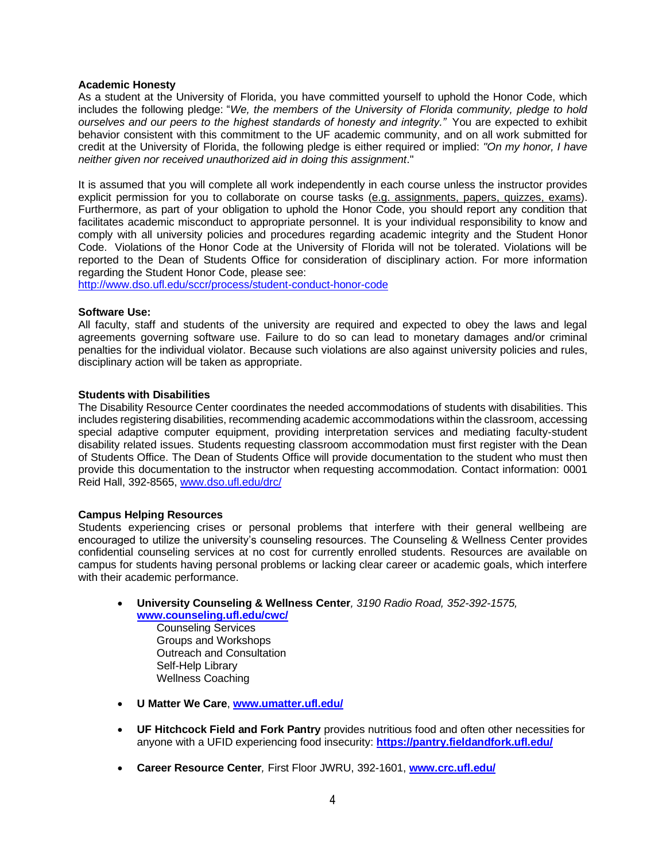#### **Academic Honesty**

As a student at the University of Florida, you have committed yourself to uphold the Honor Code, which includes the following pledge: "*We, the members of the University of Florida community, pledge to hold ourselves and our peers to the highest standards of honesty and integrity."* You are expected to exhibit behavior consistent with this commitment to the UF academic community, and on all work submitted for credit at the University of Florida, the following pledge is either required or implied: *"On my honor, I have neither given nor received unauthorized aid in doing this assignment*."

It is assumed that you will complete all work independently in each course unless the instructor provides explicit permission for you to collaborate on course tasks (e.g. assignments, papers, quizzes, exams). Furthermore, as part of your obligation to uphold the Honor Code, you should report any condition that facilitates academic misconduct to appropriate personnel. It is your individual responsibility to know and comply with all university policies and procedures regarding academic integrity and the Student Honor Code. Violations of the Honor Code at the University of Florida will not be tolerated. Violations will be reported to the Dean of Students Office for consideration of disciplinary action. For more information regarding the Student Honor Code, please see:

<http://www.dso.ufl.edu/sccr/process/student-conduct-honor-code>

#### **Software Use:**

All faculty, staff and students of the university are required and expected to obey the laws and legal agreements governing software use. Failure to do so can lead to monetary damages and/or criminal penalties for the individual violator. Because such violations are also against university policies and rules, disciplinary action will be taken as appropriate.

## **Students with Disabilities**

The Disability Resource Center coordinates the needed accommodations of students with disabilities. This includes registering disabilities, recommending academic accommodations within the classroom, accessing special adaptive computer equipment, providing interpretation services and mediating faculty-student disability related issues. Students requesting classroom accommodation must first register with the Dean of Students Office. The Dean of Students Office will provide documentation to the student who must then provide this documentation to the instructor when requesting accommodation. Contact information: 0001 Reid Hall, 392-8565, [www.dso.ufl.edu/drc/](http://www.dso.ufl.edu/drc/)

## **Campus Helping Resources**

Students experiencing crises or personal problems that interfere with their general wellbeing are encouraged to utilize the university's counseling resources. The Counseling & Wellness Center provides confidential counseling services at no cost for currently enrolled students. Resources are available on campus for students having personal problems or lacking clear career or academic goals, which interfere with their academic performance.

• **University Counseling & Wellness Center***, 3190 Radio Road, 352-392-1575,* **[www.counseling.ufl.edu/cwc/](http://www.counseling.ufl.edu/cwc/)**

Counseling Services Groups and Workshops Outreach and Consultation Self-Help Library Wellness Coaching

- **U Matter We Care**, **[www.umatter.ufl.edu/](http://www.umatter.ufl.edu/)**
- **UF Hitchcock Field and Fork Pantry** provides nutritious food and often other necessities for anyone with a UFID experiencing food insecurity: **<https://pantry.fieldandfork.ufl.edu/>**
- **Career Resource Center***,* First Floor JWRU, 392-1601, **[www.crc.ufl.edu/](http://www.crc.ufl.edu/)**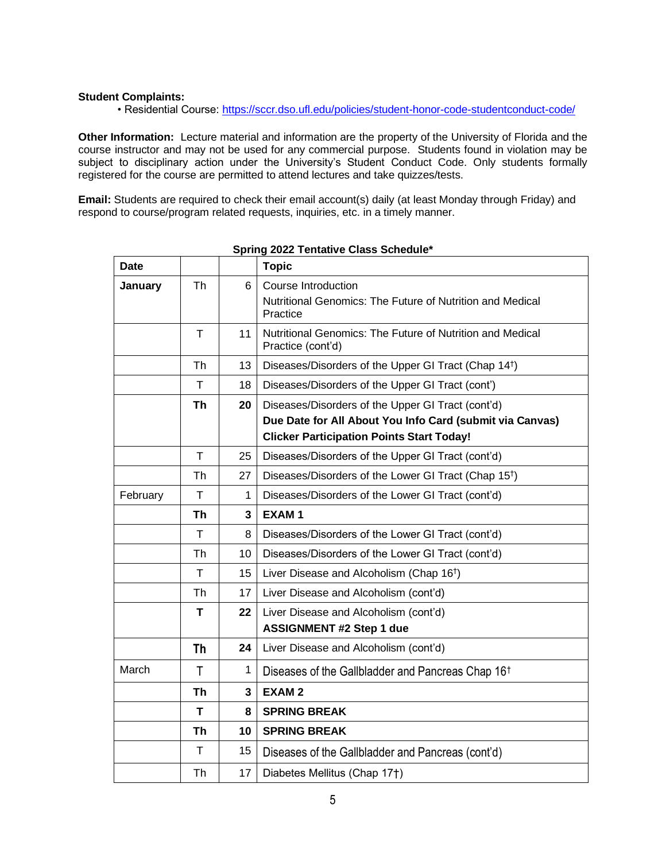# **Student Complaints:**

• Residential Course:<https://sccr.dso.ufl.edu/policies/student-honor-code-studentconduct-code/>

**Other Information:** Lecture material and information are the property of the University of Florida and the course instructor and may not be used for any commercial purpose. Students found in violation may be subject to disciplinary action under the University's Student Conduct Code. Only students formally registered for the course are permitted to attend lectures and take quizzes/tests.

**Email:** Students are required to check their email account(s) daily (at least Monday through Friday) and respond to course/program related requests, inquiries, etc. in a timely manner.

| <b>Date</b> |              |                | <b>Topic</b>                                                                                                                                                      |
|-------------|--------------|----------------|-------------------------------------------------------------------------------------------------------------------------------------------------------------------|
| January     | Th           | 6              | <b>Course Introduction</b><br>Nutritional Genomics: The Future of Nutrition and Medical<br>Practice                                                               |
|             | $\mathsf{T}$ | 11             | Nutritional Genomics: The Future of Nutrition and Medical<br>Practice (cont'd)                                                                                    |
|             | Th           | 13             | Diseases/Disorders of the Upper GI Tract (Chap 14 <sup>†</sup> )                                                                                                  |
|             | $\mathsf{T}$ | 18             | Diseases/Disorders of the Upper GI Tract (cont')                                                                                                                  |
|             | Th           | 20             | Diseases/Disorders of the Upper GI Tract (cont'd)<br>Due Date for All About You Info Card (submit via Canvas)<br><b>Clicker Participation Points Start Today!</b> |
|             | $\mathsf{T}$ | 25             | Diseases/Disorders of the Upper GI Tract (cont'd)                                                                                                                 |
|             | Th           | 27             | Diseases/Disorders of the Lower GI Tract (Chap 15 <sup>t</sup> )                                                                                                  |
| February    | T            | 1              | Diseases/Disorders of the Lower GI Tract (cont'd)                                                                                                                 |
|             | <b>Th</b>    | $\overline{3}$ | <b>EXAM1</b>                                                                                                                                                      |
|             | т            | 8              | Diseases/Disorders of the Lower GI Tract (cont'd)                                                                                                                 |
|             | Th           | 10             | Diseases/Disorders of the Lower GI Tract (cont'd)                                                                                                                 |
|             | $\mathsf{T}$ | 15             | Liver Disease and Alcoholism (Chap 16 <sup>†</sup> )                                                                                                              |
|             | Th           | 17             | Liver Disease and Alcoholism (cont'd)                                                                                                                             |
|             | т            | 22             | Liver Disease and Alcoholism (cont'd)<br><b>ASSIGNMENT #2 Step 1 due</b>                                                                                          |
|             | Th           | 24             | Liver Disease and Alcoholism (cont'd)                                                                                                                             |
| March       | T            | 1              | Diseases of the Gallbladder and Pancreas Chap 16 <sup>t</sup>                                                                                                     |
|             | <b>Th</b>    | 3              | <b>EXAM2</b>                                                                                                                                                      |
|             | T            | 8              | <b>SPRING BREAK</b>                                                                                                                                               |
|             | <b>Th</b>    | 10             | <b>SPRING BREAK</b>                                                                                                                                               |
|             | $\mathsf{T}$ | 15             | Diseases of the Gallbladder and Pancreas (cont'd)                                                                                                                 |
|             | Th           | 17             | Diabetes Mellitus (Chap 17†)                                                                                                                                      |

**Spring 2022 Tentative Class Schedule\***